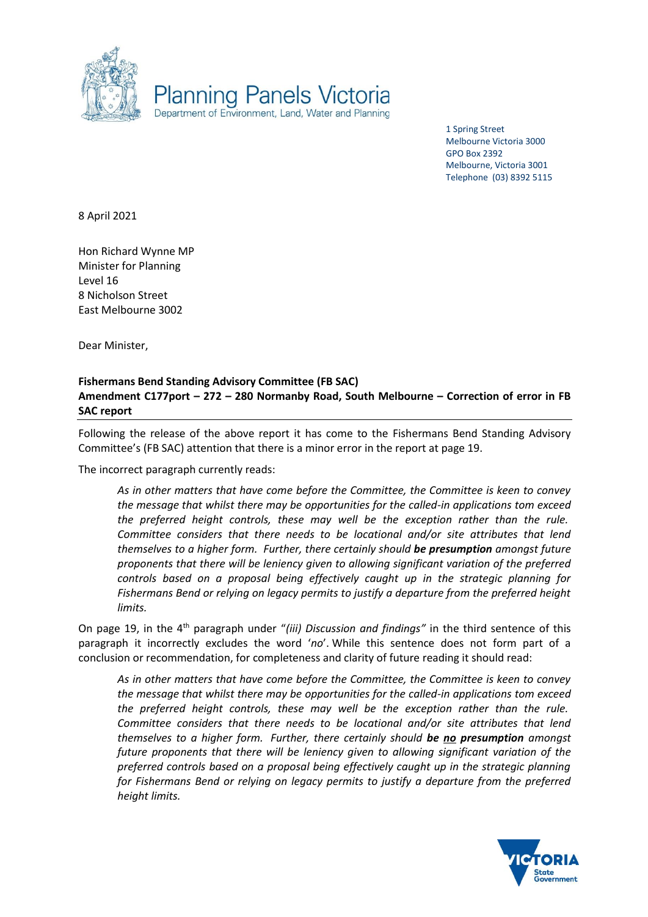

1 Spring Street Melbourne Victoria 3000 GPO Box 2392 Melbourne, Victoria 3001 Telephone (03) 8392 5115

8 April 2021

Hon Richard Wynne MP Minister for Planning Level 16 8 Nicholson Street East Melbourne 3002

Dear Minister,

## **Fishermans Bend Standing Advisory Committee (FB SAC) Amendment C177port – 272 – 280 Normanby Road, South Melbourne – Correction of error in FB SAC report**

Following the release of the above report it has come to the Fishermans Bend Standing Advisory Committee's (FB SAC) attention that there is a minor error in the report at page 19.

The incorrect paragraph currently reads:

*As in other matters that have come before the Committee, the Committee is keen to convey the message that whilst there may be opportunities for the called-in applications tom exceed the preferred height controls, these may well be the exception rather than the rule. Committee considers that there needs to be locational and/or site attributes that lend themselves to a higher form. Further, there certainly should be presumption amongst future proponents that there will be leniency given to allowing significant variation of the preferred controls based on a proposal being effectively caught up in the strategic planning for Fishermans Bend or relying on legacy permits to justify a departure from the preferred height limits.* 

On page 19, in the 4th paragraph under "*(iii) Discussion and findings"* in the third sentence of this paragraph it incorrectly excludes the word '*no*'. While this sentence does not form part of a conclusion or recommendation, for completeness and clarity of future reading it should read:

*As in other matters that have come before the Committee, the Committee is keen to convey the message that whilst there may be opportunities for the called-in applications tom exceed the preferred height controls, these may well be the exception rather than the rule. Committee considers that there needs to be locational and/or site attributes that lend themselves to a higher form. Further, there certainly should be no presumption amongst future proponents that there will be leniency given to allowing significant variation of the preferred controls based on a proposal being effectively caught up in the strategic planning for Fishermans Bend or relying on legacy permits to justify a departure from the preferred height limits.*